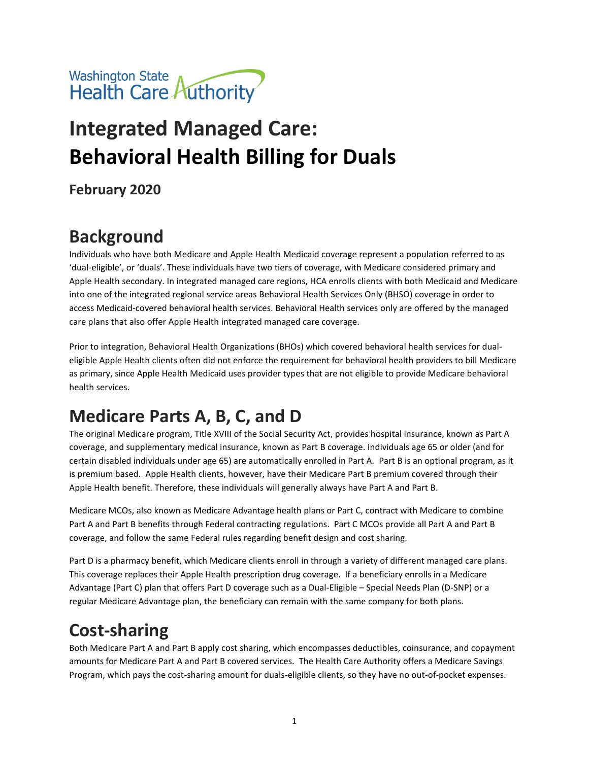

# **Integrated Managed Care: Behavioral Health Billing for Duals**

**February 2020**

# **Background**

Individuals who have both Medicare and Apple Health Medicaid coverage represent a population referred to as 'dual-eligible', or 'duals'. These individuals have two tiers of coverage, with Medicare considered primary and Apple Health secondary. In integrated managed care regions, HCA enrolls clients with both Medicaid and Medicare into one of the integrated regional service areas Behavioral Health Services Only (BHSO) coverage in order to access Medicaid-covered behavioral health services. Behavioral Health services only are offered by the managed care plans that also offer Apple Health integrated managed care coverage.

Prior to integration, Behavioral Health Organizations (BHOs) which covered behavioral health services for dualeligible Apple Health clients often did not enforce the requirement for behavioral health providers to bill Medicare as primary, since Apple Health Medicaid uses provider types that are not eligible to provide Medicare behavioral health services.

#### **Medicare Parts A, B, C, and D**

The original Medicare program, Title XVIII of the Social Security Act, provides hospital insurance, known as Part A coverage, and supplementary medical insurance, known as Part B coverage. Individuals age 65 or older (and for certain disabled individuals under age 65) are automatically enrolled in Part A. Part B is an optional program, as it is premium based. Apple Health clients, however, have their Medicare Part B premium covered through their Apple Health benefit. Therefore, these individuals will generally always have Part A and Part B.

Medicare MCOs, also known as Medicare Advantage health plans or Part C, contract with Medicare to combine Part A and Part B benefits through Federal contracting regulations. Part C MCOs provide all Part A and Part B coverage, and follow the same Federal rules regarding benefit design and cost sharing.

Part D is a pharmacy benefit, which Medicare clients enroll in through a variety of different managed care plans. This coverage replaces their Apple Health prescription drug coverage. If a beneficiary enrolls in a Medicare Advantage (Part C) plan that offers Part D coverage such as a Dual-Eligible – Special Needs Plan (D-SNP) or a regular Medicare Advantage plan, the beneficiary can remain with the same company for both plans.

# **Cost-sharing**

Both Medicare Part A and Part B apply cost sharing, which encompasses deductibles, coinsurance, and copayment amounts for Medicare Part A and Part B covered services. The Health Care Authority offers a Medicare Savings Program, which pays the cost-sharing amount for duals-eligible clients, so they have no out-of-pocket expenses.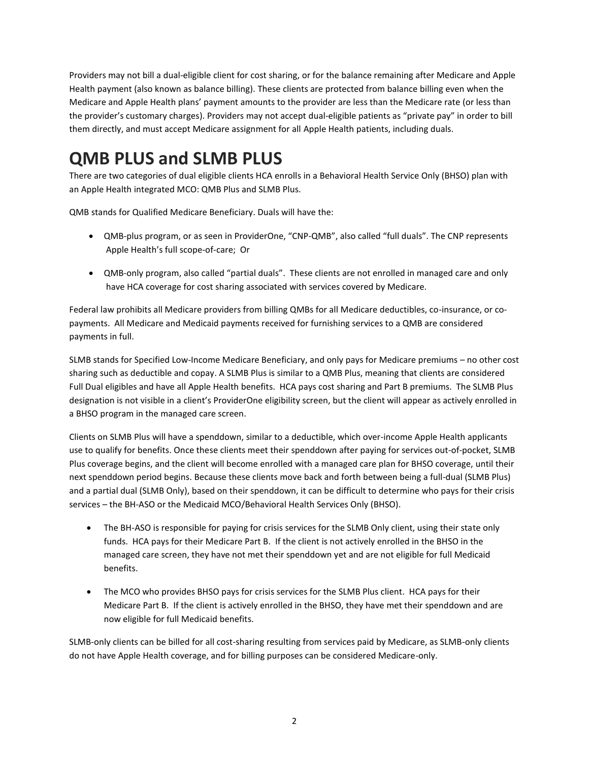Providers may not bill a dual-eligible client for cost sharing, or for the balance remaining after Medicare and Apple Health payment (also known as balance billing). These clients are protected from balance billing even when the Medicare and Apple Health plans' payment amounts to the provider are less than the Medicare rate (or less than the provider's customary charges). Providers may not accept dual-eligible patients as "private pay" in order to bill them directly, and must accept Medicare assignment for all Apple Health patients, including duals.

#### **QMB PLUS and SLMB PLUS**

There are two categories of dual eligible clients HCA enrolls in a Behavioral Health Service Only (BHSO) plan with an Apple Health integrated MCO: QMB Plus and SLMB Plus.

QMB stands for Qualified Medicare Beneficiary. Duals will have the:

- QMB-plus program, or as seen in ProviderOne, "CNP-QMB", also called "full duals". The CNP represents Apple Health's full scope-of-care; Or
- QMB-only program, also called "partial duals". These clients are not enrolled in managed care and only have HCA coverage for cost sharing associated with services covered by Medicare.

Federal law prohibits all Medicare providers from billing QMBs for all Medicare deductibles, co-insurance, or copayments. All Medicare and Medicaid payments received for furnishing services to a QMB are considered payments in full.

SLMB stands for Specified Low-Income Medicare Beneficiary, and only pays for Medicare premiums – no other cost sharing such as deductible and copay. A SLMB Plus is similar to a QMB Plus, meaning that clients are considered Full Dual eligibles and have all Apple Health benefits. HCA pays cost sharing and Part B premiums. The SLMB Plus designation is not visible in a client's ProviderOne eligibility screen, but the client will appear as actively enrolled in a BHSO program in the managed care screen.

Clients on SLMB Plus will have a spenddown, similar to a deductible, which over-income Apple Health applicants use to qualify for benefits. Once these clients meet their spenddown after paying for services out-of-pocket, SLMB Plus coverage begins, and the client will become enrolled with a managed care plan for BHSO coverage, until their next spenddown period begins. Because these clients move back and forth between being a full-dual (SLMB Plus) and a partial dual (SLMB Only), based on their spenddown, it can be difficult to determine who pays for their crisis services – the BH-ASO or the Medicaid MCO/Behavioral Health Services Only (BHSO).

- The BH-ASO is responsible for paying for crisis services for the SLMB Only client, using their state only funds. HCA pays for their Medicare Part B. If the client is not actively enrolled in the BHSO in the managed care screen, they have not met their spenddown yet and are not eligible for full Medicaid benefits.
- The MCO who provides BHSO pays for crisis services for the SLMB Plus client. HCA pays for their Medicare Part B. If the client is actively enrolled in the BHSO, they have met their spenddown and are now eligible for full Medicaid benefits.

SLMB-only clients can be billed for all cost-sharing resulting from services paid by Medicare, as SLMB-only clients do not have Apple Health coverage, and for billing purposes can be considered Medicare-only.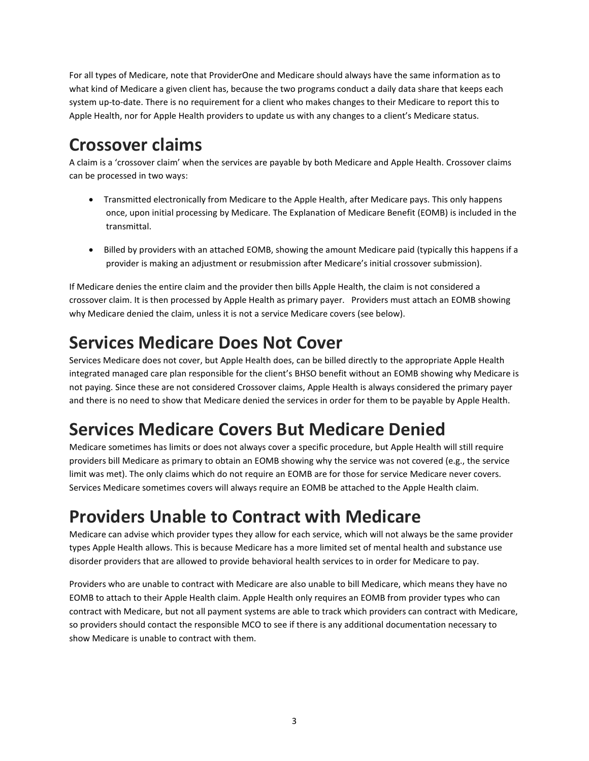For all types of Medicare, note that ProviderOne and Medicare should always have the same information as to what kind of Medicare a given client has, because the two programs conduct a daily data share that keeps each system up-to-date. There is no requirement for a client who makes changes to their Medicare to report this to Apple Health, nor for Apple Health providers to update us with any changes to a client's Medicare status.

#### **Crossover claims**

A claim is a 'crossover claim' when the services are payable by both Medicare and Apple Health. Crossover claims can be processed in two ways:

- Transmitted electronically from Medicare to the Apple Health, after Medicare pays. This only happens once, upon initial processing by Medicare. The Explanation of Medicare Benefit (EOMB) is included in the transmittal.
- Billed by providers with an attached EOMB, showing the amount Medicare paid (typically this happens if a provider is making an adjustment or resubmission after Medicare's initial crossover submission).

If Medicare denies the entire claim and the provider then bills Apple Health, the claim is not considered a crossover claim. It is then processed by Apple Health as primary payer. Providers must attach an EOMB showing why Medicare denied the claim, unless it is not a service Medicare covers (see below).

#### **Services Medicare Does Not Cover**

Services Medicare does not cover, but Apple Health does, can be billed directly to the appropriate Apple Health integrated managed care plan responsible for the client's BHSO benefit without an EOMB showing why Medicare is not paying. Since these are not considered Crossover claims, Apple Health is always considered the primary payer and there is no need to show that Medicare denied the services in order for them to be payable by Apple Health.

# **Services Medicare Covers But Medicare Denied**

Medicare sometimes has limits or does not always cover a specific procedure, but Apple Health will still require providers bill Medicare as primary to obtain an EOMB showing why the service was not covered (e.g., the service limit was met). The only claims which do not require an EOMB are for those for service Medicare never covers. Services Medicare sometimes covers will always require an EOMB be attached to the Apple Health claim.

# **Providers Unable to Contract with Medicare**

Medicare can advise which provider types they allow for each service, which will not always be the same provider types Apple Health allows. This is because Medicare has a more limited set of mental health and substance use disorder providers that are allowed to provide behavioral health services to in order for Medicare to pay.

Providers who are unable to contract with Medicare are also unable to bill Medicare, which means they have no EOMB to attach to their Apple Health claim. Apple Health only requires an EOMB from provider types who can contract with Medicare, but not all payment systems are able to track which providers can contract with Medicare, so providers should contact the responsible MCO to see if there is any additional documentation necessary to show Medicare is unable to contract with them.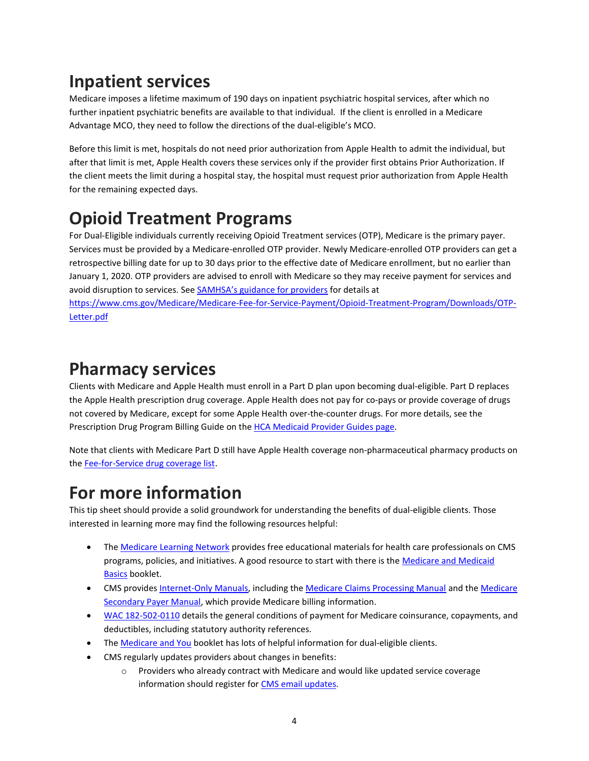# **Inpatient services**

Medicare imposes a lifetime maximum of 190 days on inpatient psychiatric hospital services, after which no further inpatient psychiatric benefits are available to that individual. If the client is enrolled in a Medicare Advantage MCO, they need to follow the directions of the dual-eligible's MCO.

Before this limit is met, hospitals do not need prior authorization from Apple Health to admit the individual, but after that limit is met, Apple Health covers these services only if the provider first obtains Prior Authorization. If the client meets the limit during a hospital stay, the hospital must request prior authorization from Apple Health for the remaining expected days.

# **Opioid Treatment Programs**

For Dual-Eligible individuals currently receiving Opioid Treatment services (OTP), Medicare is the primary payer. Services must be provided by a Medicare-enrolled OTP provider. Newly Medicare-enrolled OTP providers can get a retrospective billing date for up to 30 days prior to the effective date of Medicare enrollment, but no earlier than January 1, 2020. OTP providers are advised to enroll with Medicare so they may receive payment for services and avoid disruption to services. See [SAMHSA's guidance for providers](https://www.cms.gov/Medicare/Medicare-Fee-for-Service-Payment/Opioid-Treatment-Program/Downloads/OTP-Letter.pdf) for details at

[https://www.cms.gov/Medicare/Medicare-Fee-for-Service-Payment/Opioid-Treatment-Program/Downloads/OTP-](https://www.cms.gov/Medicare/Medicare-Fee-for-Service-Payment/Opioid-Treatment-Program/Downloads/OTP-Letter.pdf)[Letter.pdf](https://www.cms.gov/Medicare/Medicare-Fee-for-Service-Payment/Opioid-Treatment-Program/Downloads/OTP-Letter.pdf)

#### **Pharmacy services**

Clients with Medicare and Apple Health must enroll in a Part D plan upon becoming dual-eligible. Part D replaces the Apple Health prescription drug coverage. Apple Health does not pay for co-pays or provide coverage of drugs not covered by Medicare, except for some Apple Health over-the-counter drugs. For more details, see the Prescription Drug Program Billing Guide on the [HCA Medicaid Provider Guides](https://www.hca.wa.gov/billers-providers-partners/prior-authorization-claims-and-billing/provider-billing-guides-and-fee-schedules) page.

Note that clients with Medicare Part D still have Apple Health coverage non-pharmaceutical pharmacy products on the [Fee-for-Service drug coverage list.](http://www.hca.wa.gov/billers-providers/programs-and-services/fee-service-ffs-drug-coverage-lists)

#### **For more information**

This tip sheet should provide a solid groundwork for understanding the benefits of dual-eligible clients. Those interested in learning more may find the following resources helpful:

- Th[e Medicare Learning Network](https://www.cms.gov/Outreach-and-Education/Medicare-Learning-Network-MLN/MLNGenInfo/index.html) provides free educational materials for health care professionals on CMS programs, policies, and initiatives. A good resource to start with there is the Medicare and Medicaid [Basics](https://www.cms.gov/Outreach-and-Education/Medicare-Learning-Network-MLN/MLNProducts/Downloads/ProgramBasics.pdf) booklet.
- CMS provides [Internet-Only Manuals,](https://www.cms.gov/Regulations-and-Guidance/Guidance/Manuals/Internet-Only-Manuals-IOMs.html) including th[e Medicare Claims Processing Manual](https://www.cms.gov/Regulations-and-Guidance/Guidance/Manuals/Internet-Only-Manuals-IOMs-Items/CMS018912) and th[e Medicare](https://www.cms.gov/Regulations-and-Guidance/Guidance/Manuals/Internet-Only-Manuals-IOMs-Items/CMS019017)  [Secondary Payer Manual,](https://www.cms.gov/Regulations-and-Guidance/Guidance/Manuals/Internet-Only-Manuals-IOMs-Items/CMS019017) which provide Medicare billing information.
- [WAC 182-502-0110](http://apps.leg.wa.gov/WAC/default.aspx?cite=182-502-0110) details the general conditions of payment for Medicare coinsurance, copayments, and deductibles, including statutory authority references.
- Th[e Medicare and You](https://www.medicare.gov/medicare-and-you/medicare-and-you.html) booklet has lots of helpful information for dual-eligible clients.
- CMS regularly updates providers about changes in benefits:
	- o Providers who already contract with Medicare and would like updated service coverage information should register for CMS email [updates.](https://public.govdelivery.com/accounts/USCMS/subscriber/new)